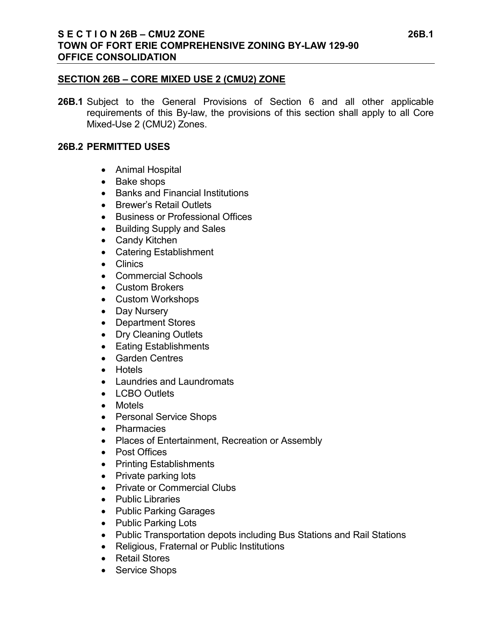#### **SECTION 26B – CORE MIXED USE 2 (CMU2) ZONE**

**26B.1** Subject to the General Provisions of Section 6 and all other applicable requirements of this By-law, the provisions of this section shall apply to all Core Mixed-Use 2 (CMU2) Zones.

### **26B.2 PERMITTED USES**

- Animal Hospital
- Bake shops
- Banks and Financial Institutions
- Brewer's Retail Outlets
- Business or Professional Offices
- Building Supply and Sales
- Candy Kitchen
- Catering Establishment
- Clinics
- Commercial Schools
- Custom Brokers
- Custom Workshops
- Day Nursery
- Department Stores
- Dry Cleaning Outlets
- Eating Establishments
- Garden Centres
- Hotels
- Laundries and Laundromats
- LCBO Outlets
- Motels
- Personal Service Shops
- Pharmacies
- Places of Entertainment, Recreation or Assembly
- Post Offices
- Printing Establishments
- Private parking lots
- Private or Commercial Clubs
- Public Libraries
- Public Parking Garages
- Public Parking Lots
- Public Transportation depots including Bus Stations and Rail Stations
- Religious, Fraternal or Public Institutions
- Retail Stores
- Service Shops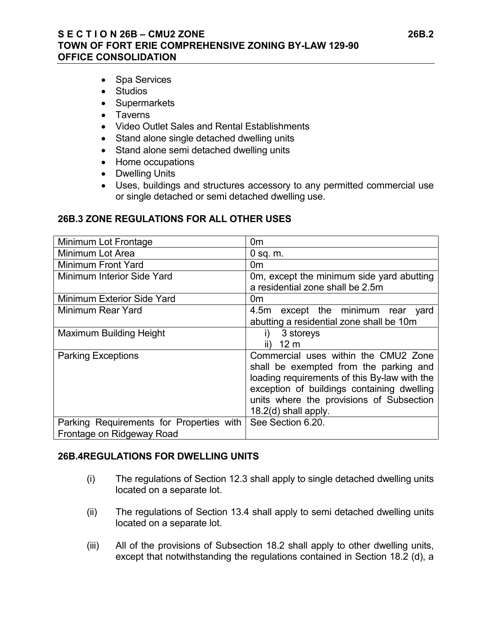#### **S E C T I O N 26B – CMU2 ZONE 26B.2 TOWN OF FORT ERIE COMPREHENSIVE ZONING BY-LAW 129-90 OFFICE CONSOLIDATION**

- Spa Services
- Studios
- Supermarkets
- Taverns
- Video Outlet Sales and Rental Establishments
- Stand alone single detached dwelling units
- Stand alone semi detached dwelling units
- Home occupations
- Dwelling Units
- Uses, buildings and structures accessory to any permitted commercial use or single detached or semi detached dwelling use.

#### **26B.3 ZONE REGULATIONS FOR ALL OTHER USES**

| Minimum Lot Frontage                                                  | 0m                                                                                                                                                                                                                                                 |
|-----------------------------------------------------------------------|----------------------------------------------------------------------------------------------------------------------------------------------------------------------------------------------------------------------------------------------------|
| Minimum Lot Area                                                      | $0$ sq. $m$ .                                                                                                                                                                                                                                      |
| Minimum Front Yard                                                    | 0m                                                                                                                                                                                                                                                 |
| Minimum Interior Side Yard                                            | Om, except the minimum side yard abutting<br>a residential zone shall be 2.5m                                                                                                                                                                      |
| Minimum Exterior Side Yard                                            | 0m                                                                                                                                                                                                                                                 |
| Minimum Rear Yard                                                     | 4.5m except the minimum rear yard<br>abutting a residential zone shall be 10m                                                                                                                                                                      |
| <b>Maximum Building Height</b>                                        | 3 storeys<br>I)<br>12 <sub>m</sub><br>II)                                                                                                                                                                                                          |
| <b>Parking Exceptions</b>                                             | Commercial uses within the CMU2 Zone<br>shall be exempted from the parking and<br>loading requirements of this By-law with the<br>exception of buildings containing dwelling<br>units where the provisions of Subsection<br>$18.2(d)$ shall apply. |
| Parking Requirements for Properties with<br>Frontage on Ridgeway Road | See Section 6.20.                                                                                                                                                                                                                                  |

#### **26B.4REGULATIONS FOR DWELLING UNITS**

- (i) The regulations of Section 12.3 shall apply to single detached dwelling units located on a separate lot.
- (ii) The regulations of Section 13.4 shall apply to semi detached dwelling units located on a separate lot.
- (iii) All of the provisions of Subsection 18.2 shall apply to other dwelling units, except that notwithstanding the regulations contained in Section 18.2 (d), a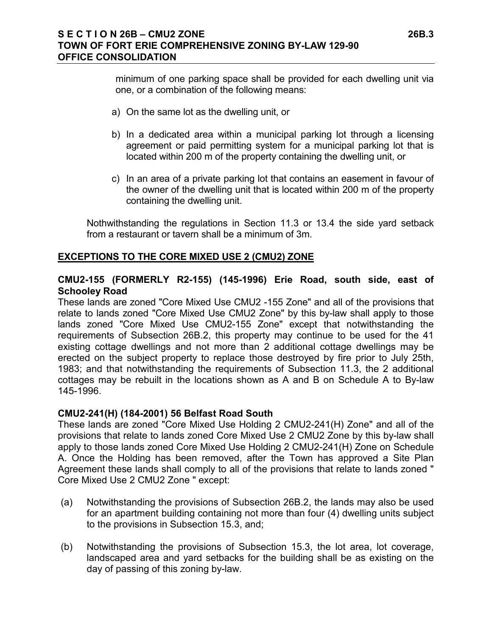minimum of one parking space shall be provided for each dwelling unit via one, or a combination of the following means:

- a) On the same lot as the dwelling unit, or
- b) In a dedicated area within a municipal parking lot through a licensing agreement or paid permitting system for a municipal parking lot that is located within 200 m of the property containing the dwelling unit, or
- c) In an area of a private parking lot that contains an easement in favour of the owner of the dwelling unit that is located within 200 m of the property containing the dwelling unit.

Nothwithstanding the regulations in Section 11.3 or 13.4 the side yard setback from a restaurant or tavern shall be a minimum of 3m.

#### **EXCEPTIONS TO THE CORE MIXED USE 2 (CMU2) ZONE**

#### **CMU2-155 (FORMERLY R2-155) (145-1996) Erie Road, south side, east of Schooley Road**

These lands are zoned "Core Mixed Use CMU2 -155 Zone" and all of the provisions that relate to lands zoned "Core Mixed Use CMU2 Zone" by this by-law shall apply to those lands zoned "Core Mixed Use CMU2-155 Zone" except that notwithstanding the requirements of Subsection 26B.2, this property may continue to be used for the 41 existing cottage dwellings and not more than 2 additional cottage dwellings may be erected on the subject property to replace those destroyed by fire prior to July 25th, 1983; and that notwithstanding the requirements of Subsection 11.3, the 2 additional cottages may be rebuilt in the locations shown as A and B on Schedule A to By-law 145-1996.

#### **CMU2-241(H) (184-2001) 56 Belfast Road South**

These lands are zoned "Core Mixed Use Holding 2 CMU2-241(H) Zone" and all of the provisions that relate to lands zoned Core Mixed Use 2 CMU2 Zone by this by-law shall apply to those lands zoned Core Mixed Use Holding 2 CMU2-241(H) Zone on Schedule A. Once the Holding has been removed, after the Town has approved a Site Plan Agreement these lands shall comply to all of the provisions that relate to lands zoned " Core Mixed Use 2 CMU2 Zone " except:

- (a) Notwithstanding the provisions of Subsection 26B.2, the lands may also be used for an apartment building containing not more than four (4) dwelling units subject to the provisions in Subsection 15.3, and;
- (b) Notwithstanding the provisions of Subsection 15.3, the lot area, lot coverage, landscaped area and yard setbacks for the building shall be as existing on the day of passing of this zoning by-law.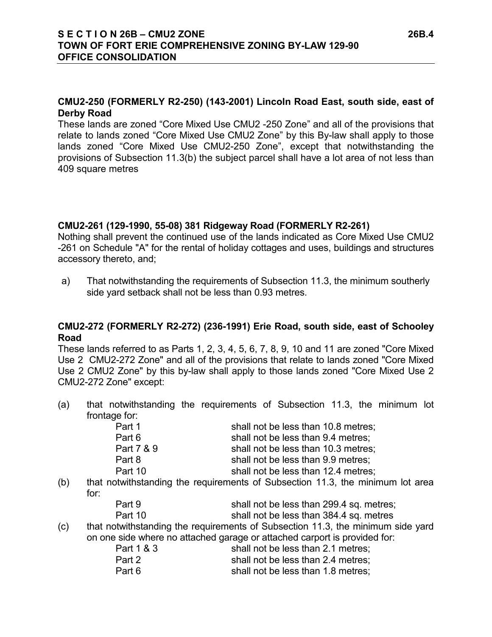#### **CMU2-250 (FORMERLY R2-250) (143-2001) Lincoln Road East, south side, east of Derby Road**

These lands are zoned "Core Mixed Use CMU2 -250 Zone" and all of the provisions that relate to lands zoned "Core Mixed Use CMU2 Zone" by this By-law shall apply to those lands zoned "Core Mixed Use CMU2-250 Zone", except that notwithstanding the provisions of Subsection 11.3(b) the subject parcel shall have a lot area of not less than 409 square metres

#### **CMU2-261 (129-1990, 55-08) 381 Ridgeway Road (FORMERLY R2-261)**

Nothing shall prevent the continued use of the lands indicated as Core Mixed Use CMU2 -261 on Schedule "A" for the rental of holiday cottages and uses, buildings and structures accessory thereto, and;

a) That notwithstanding the requirements of Subsection 11.3, the minimum southerly side yard setback shall not be less than 0.93 metres.

### **CMU2-272 (FORMERLY R2-272) (236-1991) Erie Road, south side, east of Schooley Road**

These lands referred to as Parts 1, 2, 3, 4, 5, 6, 7, 8, 9, 10 and 11 are zoned "Core Mixed Use 2 CMU2-272 Zone" and all of the provisions that relate to lands zoned "Core Mixed Use 2 CMU2 Zone" by this by-law shall apply to those lands zoned "Core Mixed Use 2 CMU2-272 Zone" except:

(a) that notwithstanding the requirements of Subsection 11.3, the minimum lot frontage for:

| Part 1     | shall not be less than 10.8 metres;                                                                                                                                                                                                |
|------------|------------------------------------------------------------------------------------------------------------------------------------------------------------------------------------------------------------------------------------|
| Part 6     | shall not be less than 9.4 metres;                                                                                                                                                                                                 |
| Part 7 & 9 | shall not be less than 10.3 metres;                                                                                                                                                                                                |
| Part 8     | shall not be less than 9.9 metres;                                                                                                                                                                                                 |
| Part 10    | shall not be less than 12.4 metres;                                                                                                                                                                                                |
|            | $\mathcal{L}$ , and the contract of the contract of the contract of the contract of the contract of the contract of the contract of the contract of the contract of the contract of the contract of the contract of the contract o |

(b) that notwithstanding the requirements of Subsection 11.3, the minimum lot area for:

| Part 9  | shall not be less than 299.4 sq. metres; |
|---------|------------------------------------------|
| Part 10 | shall not be less than 384.4 sq. metres  |

(c) that notwithstanding the requirements of Subsection 11.3, the minimum side yard on one side where no attached garage or attached carport is provided for:

| Part 1 & 3 | shall not be less than 2.1 metres: |
|------------|------------------------------------|
| Part 2     | shall not be less than 2.4 metres; |
| Part 6     | shall not be less than 1.8 metres: |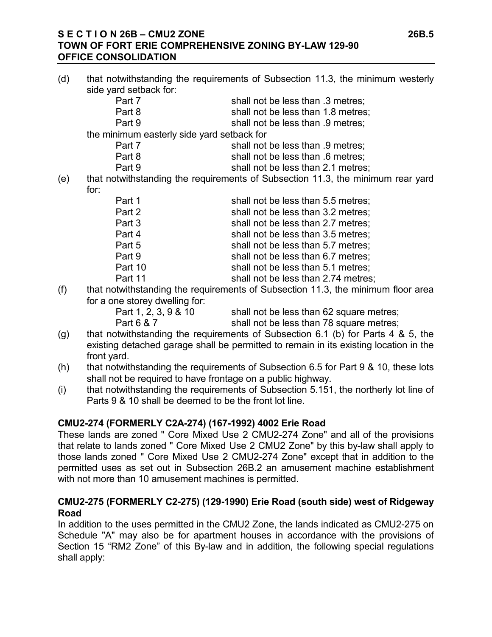#### **S E C T I O N 26B – CMU2 ZONE 26B.5 TOWN OF FORT ERIE COMPREHENSIVE ZONING BY-LAW 129-90 OFFICE CONSOLIDATION**

- (d) that notwithstanding the requirements of Subsection 11.3, the minimum westerly side yard setback for: Part 7 shall not be less than .3 metres; Part 8 shall not be less than 1.8 metres: Part 9 shall not be less than .9 metres; the minimum easterly side yard setback for Part 7 shall not be less than .9 metres; Part 8 shall not be less than .6 metres: Part 9 shall not be less than 2.1 metres; (e) that notwithstanding the requirements of Subsection 11.3, the minimum rear yard for: Part 1 shall not be less than 5.5 metres; Part 2 shall not be less than 3.2 metres; Part 3 shall not be less than 2.7 metres; Part 4 shall not be less than 3.5 metres; Part 5 shall not be less than 5.7 metres: Part 9 shall not be less than 6.7 metres; Part 10 shall not be less than 5.1 metres: Part 11 shall not be less than 2.74 metres;
- (f) that notwithstanding the requirements of Subsection 11.3, the minimum floor area for a one storey dwelling for:
	- shall not be less than 62 square metres; Part 6 & 7 shall not be less than 78 square metres;
- (g) that notwithstanding the requirements of Subsection 6.1 (b) for Parts 4 & 5, the existing detached garage shall be permitted to remain in its existing location in the front yard.
- (h) that notwithstanding the requirements of Subsection 6.5 for Part 9 & 10, these lots shall not be required to have frontage on a public highway.
- (i) that notwithstanding the requirements of Subsection 5.151, the northerly lot line of Parts 9 & 10 shall be deemed to be the front lot line.

# **CMU2-274 (FORMERLY C2A-274) (167-1992) 4002 Erie Road**

These lands are zoned " Core Mixed Use 2 CMU2-274 Zone" and all of the provisions that relate to lands zoned " Core Mixed Use 2 CMU2 Zone" by this by-law shall apply to those lands zoned " Core Mixed Use 2 CMU2-274 Zone" except that in addition to the permitted uses as set out in Subsection 26B.2 an amusement machine establishment with not more than 10 amusement machines is permitted.

### **CMU2-275 (FORMERLY C2-275) (129-1990) Erie Road (south side) west of Ridgeway Road**

In addition to the uses permitted in the CMU2 Zone, the lands indicated as CMU2-275 on Schedule "A" may also be for apartment houses in accordance with the provisions of Section 15 "RM2 Zone" of this By-law and in addition, the following special regulations shall apply: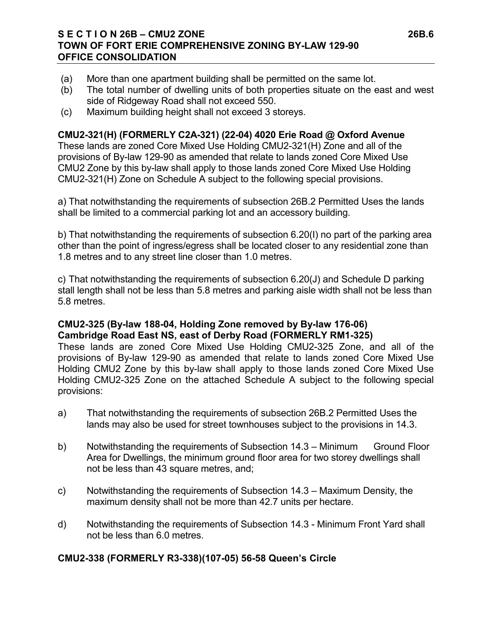#### **S E C T I O N 26B – CMU2 ZONE 26B.6 TOWN OF FORT ERIE COMPREHENSIVE ZONING BY-LAW 129-90 OFFICE CONSOLIDATION**

- (a) More than one apartment building shall be permitted on the same lot.
- (b) The total number of dwelling units of both properties situate on the east and west side of Ridgeway Road shall not exceed 550.
- (c) Maximum building height shall not exceed 3 storeys.

## **CMU2-321(H) (FORMERLY C2A-321) (22-04) 4020 Erie Road @ Oxford Avenue**

These lands are zoned Core Mixed Use Holding CMU2-321(H) Zone and all of the provisions of By-law 129-90 as amended that relate to lands zoned Core Mixed Use CMU2 Zone by this by-law shall apply to those lands zoned Core Mixed Use Holding CMU2-321(H) Zone on Schedule A subject to the following special provisions.

a) That notwithstanding the requirements of subsection 26B.2 Permitted Uses the lands shall be limited to a commercial parking lot and an accessory building.

b) That notwithstanding the requirements of subsection 6.20(I) no part of the parking area other than the point of ingress/egress shall be located closer to any residential zone than 1.8 metres and to any street line closer than 1.0 metres.

c) That notwithstanding the requirements of subsection 6.20(J) and Schedule D parking stall length shall not be less than 5.8 metres and parking aisle width shall not be less than 5.8 metres.

### **CMU2-325 (By-law 188-04, Holding Zone removed by By-law 176-06) Cambridge Road East NS, east of Derby Road (FORMERLY RM1-325)**

These lands are zoned Core Mixed Use Holding CMU2-325 Zone, and all of the provisions of By-law 129-90 as amended that relate to lands zoned Core Mixed Use Holding CMU2 Zone by this by-law shall apply to those lands zoned Core Mixed Use Holding CMU2-325 Zone on the attached Schedule A subject to the following special provisions:

- a) That notwithstanding the requirements of subsection 26B.2 Permitted Uses the lands may also be used for street townhouses subject to the provisions in 14.3.
- b) Notwithstanding the requirements of Subsection 14.3 Minimum Ground Floor Area for Dwellings, the minimum ground floor area for two storey dwellings shall not be less than 43 square metres, and;
- c) Notwithstanding the requirements of Subsection 14.3 Maximum Density, the maximum density shall not be more than 42.7 units per hectare.
- d) Notwithstanding the requirements of Subsection 14.3 Minimum Front Yard shall not be less than 6.0 metres.

### **CMU2-338 (FORMERLY R3-338)(107-05) 56-58 Queen's Circle**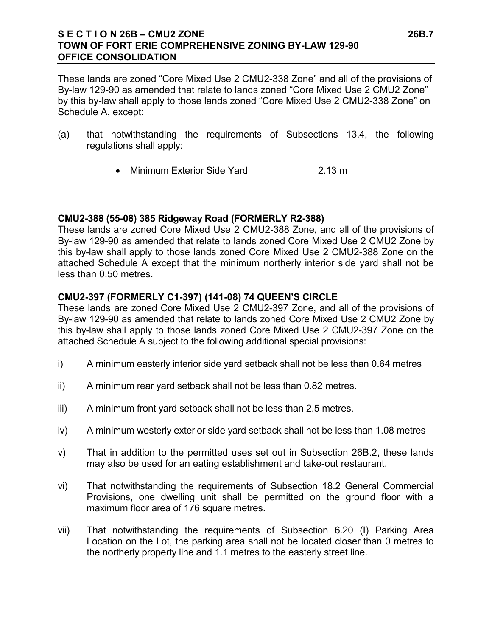#### **S E C T I O N 26B – CMU2 ZONE 26B.7 TOWN OF FORT ERIE COMPREHENSIVE ZONING BY-LAW 129-90 OFFICE CONSOLIDATION**

These lands are zoned "Core Mixed Use 2 CMU2-338 Zone" and all of the provisions of By-law 129-90 as amended that relate to lands zoned "Core Mixed Use 2 CMU2 Zone" by this by-law shall apply to those lands zoned "Core Mixed Use 2 CMU2-338 Zone" on Schedule A, except:

- (a) that notwithstanding the requirements of Subsections 13.4, the following regulations shall apply:
	- Minimum Exterior Side Yard 2.13 m

#### **CMU2-388 (55-08) 385 Ridgeway Road (FORMERLY R2-388)**

These lands are zoned Core Mixed Use 2 CMU2-388 Zone, and all of the provisions of By-law 129-90 as amended that relate to lands zoned Core Mixed Use 2 CMU2 Zone by this by-law shall apply to those lands zoned Core Mixed Use 2 CMU2-388 Zone on the attached Schedule A except that the minimum northerly interior side yard shall not be less than 0.50 metres.

#### **CMU2-397 (FORMERLY C1-397) (141-08) 74 QUEEN'S CIRCLE**

These lands are zoned Core Mixed Use 2 CMU2-397 Zone, and all of the provisions of By-law 129-90 as amended that relate to lands zoned Core Mixed Use 2 CMU2 Zone by this by-law shall apply to those lands zoned Core Mixed Use 2 CMU2-397 Zone on the attached Schedule A subject to the following additional special provisions:

- i) A minimum easterly interior side yard setback shall not be less than 0.64 metres
- ii) A minimum rear yard setback shall not be less than 0.82 metres.
- iii) A minimum front yard setback shall not be less than 2.5 metres.
- iv) A minimum westerly exterior side yard setback shall not be less than 1.08 metres
- v) That in addition to the permitted uses set out in Subsection 26B.2, these lands may also be used for an eating establishment and take-out restaurant.
- vi) That notwithstanding the requirements of Subsection 18.2 General Commercial Provisions, one dwelling unit shall be permitted on the ground floor with a maximum floor area of 176 square metres.
- vii) That notwithstanding the requirements of Subsection 6.20 (I) Parking Area Location on the Lot, the parking area shall not be located closer than 0 metres to the northerly property line and 1.1 metres to the easterly street line.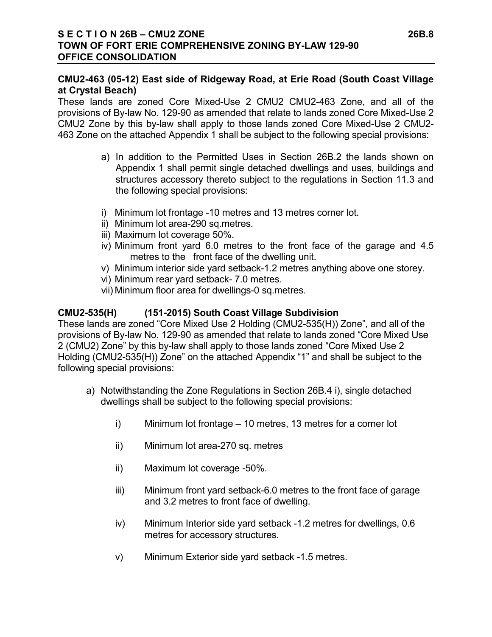### **CMU2-463 (05-12) East side of Ridgeway Road, at Erie Road (South Coast Village at Crystal Beach)**

These lands are zoned Core Mixed-Use 2 CMU2 CMU2-463 Zone, and all of the provisions of By-law No. 129-90 as amended that relate to lands zoned Core Mixed-Use 2 CMU2 Zone by this by-law shall apply to those lands zoned Core Mixed-Use 2 CMU2- 463 Zone on the attached Appendix 1 shall be subject to the following special provisions:

- a) In addition to the Permitted Uses in Section 26B.2 the lands shown on Appendix 1 shall permit single detached dwellings and uses, buildings and structures accessory thereto subject to the regulations in Section 11.3 and the following special provisions:
- i) Minimum lot frontage -10 metres and 13 metres corner lot.
- ii) Minimum lot area-290 sq.metres.
- iii) Maximum lot coverage 50%.
- iv) Minimum front yard 6.0 metres to the front face of the garage and 4.5 metres to the front face of the dwelling unit.
- v) Minimum interior side yard setback-1.2 metres anything above one storey.
- vi) Minimum rear yard setback- 7.0 metres.
- vii) Minimum floor area for dwellings-0 sq.metres.

### **CMU2-535(H) (151-2015) South Coast Village Subdivision**

These lands are zoned "Core Mixed Use 2 Holding (CMU2-535(H)) Zone", and all of the provisions of By-law No. 129-90 as amended that relate to lands zoned "Core Mixed Use 2 (CMU2) Zone" by this by-law shall apply to those lands zoned "Core Mixed Use 2 Holding (CMU2-535(H)) Zone" on the attached Appendix "1" and shall be subject to the following special provisions:

- a) Notwithstanding the Zone Regulations in Section 26B.4 i), single detached dwellings shall be subject to the following special provisions:
	- i) Minimum lot frontage 10 metres, 13 metres for a corner lot
	- ii) Minimum lot area-270 sq. metres
	- ii) Maximum lot coverage -50%.
	- iii) Minimum front yard setback-6.0 metres to the front face of garage and 3.2 metres to front face of dwelling.
	- iv) Minimum Interior side yard setback -1.2 metres for dwellings, 0.6 metres for accessory structures.
	- v) Minimum Exterior side yard setback -1.5 metres.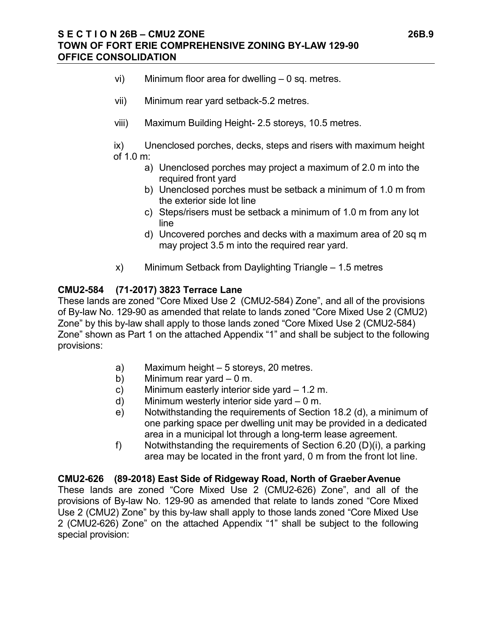#### **S E C T I O N 26B – CMU2 ZONE 26B.9 TOWN OF FORT ERIE COMPREHENSIVE ZONING BY-LAW 129-90 OFFICE CONSOLIDATION**

- vi) Minimum floor area for dwelling 0 sq. metres.
- vii) Minimum rear yard setback-5.2 metres.
- viii) Maximum Building Height- 2.5 storeys, 10.5 metres.

ix) Unenclosed porches, decks, steps and risers with maximum height of 1.0 m:

- a) Unenclosed porches may project a maximum of 2.0 m into the required front yard
- b) Unenclosed porches must be setback a minimum of 1.0 m from the exterior side lot line
- c) Steps/risers must be setback a minimum of 1.0 m from any lot line
- d) Uncovered porches and decks with a maximum area of 20 sq m may project 3.5 m into the required rear yard.
- x) Minimum Setback from Daylighting Triangle 1.5 metres

#### **CMU2-584 (71-2017) 3823 Terrace Lane**

These lands are zoned "Core Mixed Use 2 (CMU2-584) Zone", and all of the provisions of By-law No. 129-90 as amended that relate to lands zoned "Core Mixed Use 2 (CMU2) Zone" by this by-law shall apply to those lands zoned "Core Mixed Use 2 (CMU2-584) Zone" shown as Part 1 on the attached Appendix "1" and shall be subject to the following provisions:

- a) Maximum height 5 storeys, 20 metres.
- b) Minimum rear yard 0 m.
- c) Minimum easterly interior side yard 1.2 m.
- d) Minimum westerly interior side yard 0 m.
- e) Notwithstanding the requirements of Section 18.2 (d), a minimum of one parking space per dwelling unit may be provided in a dedicated area in a municipal lot through a long-term lease agreement.
- f) Notwithstanding the requirements of Section 6.20 (D)(i), a parking area may be located in the front yard, 0 m from the front lot line.

**CMU2-626 (89-2018) East Side of Ridgeway Road, North of GraeberAvenue** These lands are zoned "Core Mixed Use 2 (CMU2-626) Zone", and all of the provisions of By-law No. 129-90 as amended that relate to lands zoned "Core Mixed Use 2 (CMU2) Zone" by this by-law shall apply to those lands zoned "Core Mixed Use 2 (CMU2-626) Zone" on the attached Appendix "1" shall be subject to the following special provision: